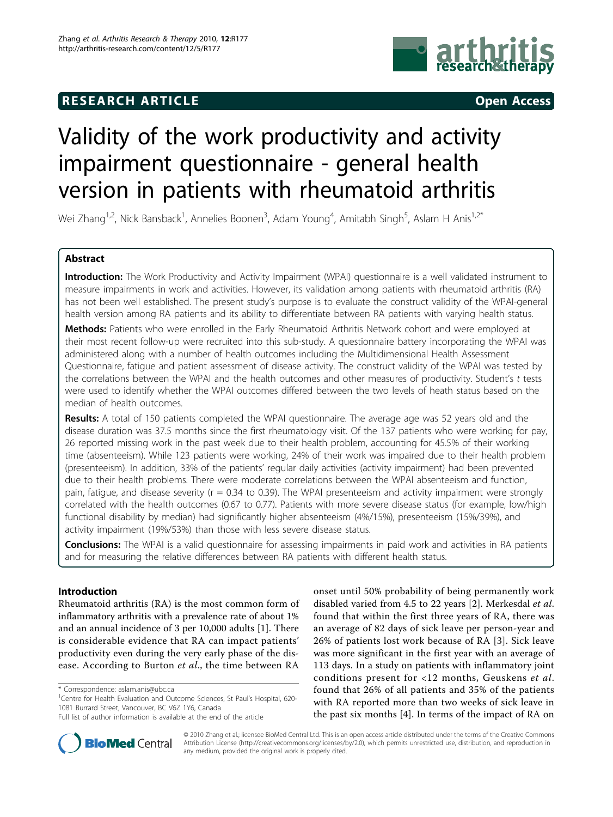## **RESEARCH ARTICLE Example 2014 CONSIDERING CONSIDERING CONSIDERING CONSIDERING CONSIDERING CONSIDERING CONSIDERING CONSIDERING CONSIDERING CONSIDERING CONSIDERING CONSIDERING CONSIDERING CONSIDERING CONSIDERING CONSIDE**



# Validity of the work productivity and activity impairment questionnaire - general health version in patients with rheumatoid arthritis

Wei Zhang $^{1,2}$ , Nick Bansback $^1$ , Annelies Boonen $^3$ , Adam Young $^4$ , Amitabh Singh $^5$ , Aslam H Anis $^{1,2^\ast}$ 

## Abstract

Introduction: The Work Productivity and Activity Impairment (WPAI) questionnaire is a well validated instrument to measure impairments in work and activities. However, its validation among patients with rheumatoid arthritis (RA) has not been well established. The present study's purpose is to evaluate the construct validity of the WPAI-general health version among RA patients and its ability to differentiate between RA patients with varying health status.

Methods: Patients who were enrolled in the Early Rheumatoid Arthritis Network cohort and were employed at their most recent follow-up were recruited into this sub-study. A questionnaire battery incorporating the WPAI was administered along with a number of health outcomes including the Multidimensional Health Assessment Questionnaire, fatigue and patient assessment of disease activity. The construct validity of the WPAI was tested by the correlations between the WPAI and the health outcomes and other measures of productivity. Student's t tests were used to identify whether the WPAI outcomes differed between the two levels of heath status based on the median of health outcomes.

**Results:** A total of 150 patients completed the WPAI questionnaire. The average age was 52 years old and the disease duration was 37.5 months since the first rheumatology visit. Of the 137 patients who were working for pay, 26 reported missing work in the past week due to their health problem, accounting for 45.5% of their working time (absenteeism). While 123 patients were working, 24% of their work was impaired due to their health problem (presenteeism). In addition, 33% of the patients' regular daily activities (activity impairment) had been prevented due to their health problems. There were moderate correlations between the WPAI absenteeism and function, pain, fatigue, and disease severity (r = 0.34 to 0.39). The WPAI presenteeism and activity impairment were strongly correlated with the health outcomes (0.67 to 0.77). Patients with more severe disease status (for example, low/high functional disability by median) had significantly higher absenteeism (4%/15%), presenteeism (15%/39%), and activity impairment (19%/53%) than those with less severe disease status.

Conclusions: The WPAI is a valid questionnaire for assessing impairments in paid work and activities in RA patients and for measuring the relative differences between RA patients with different health status.

## Introduction

Rheumatoid arthritis (RA) is the most common form of inflammatory arthritis with a prevalence rate of about 1% and an annual incidence of 3 per 10,000 adults [\[1](#page-5-0)]. There is considerable evidence that RA can impact patients' productivity even during the very early phase of the disease. According to Burton et al., the time between RA

onset until 50% probability of being permanently work disabled varied from 4.5 to 22 years [[2\]](#page-5-0). Merkesdal et al. found that within the first three years of RA, there was an average of 82 days of sick leave per person-year and 26% of patients lost work because of RA [[3](#page-5-0)]. Sick leave was more significant in the first year with an average of 113 days. In a study on patients with inflammatory joint conditions present for <12 months, Geuskens et al. found that 26% of all patients and 35% of the patients with RA reported more than two weeks of sick leave in the past six months [[4\]](#page-5-0). In terms of the impact of RA on



© 2010 Zhang et al.; licensee BioMed Central Ltd. This is an open access article distributed under the terms of the Creative Commons Attribution License [\(http://creativecommons.org/licenses/by/2.0](http://creativecommons.org/licenses/by/2.0)), which permits unrestricted use, distribution, and reproduction in any medium, provided the original work is properly cited.

<sup>\*</sup> Correspondence: [aslam.anis@ubc.ca](mailto:aslam.anis@ubc.ca)

<sup>&</sup>lt;sup>1</sup>Centre for Health Evaluation and Outcome Sciences, St Paul's Hospital, 620-1081 Burrard Street, Vancouver, BC V6Z 1Y6, Canada

Full list of author information is available at the end of the article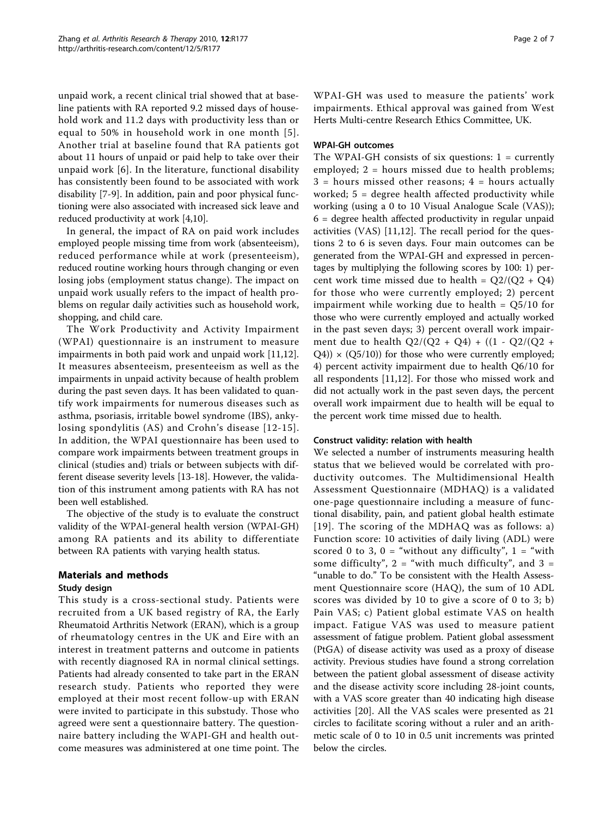unpaid work, a recent clinical trial showed that at baseline patients with RA reported 9.2 missed days of household work and 11.2 days with productivity less than or equal to 50% in household work in one month [[5\]](#page-5-0). Another trial at baseline found that RA patients got about 11 hours of unpaid or paid help to take over their unpaid work [[6](#page-5-0)]. In the literature, functional disability has consistently been found to be associated with work disability [[7-9](#page-5-0)]. In addition, pain and poor physical functioning were also associated with increased sick leave and reduced productivity at work [\[4,10\]](#page-5-0).

In general, the impact of RA on paid work includes employed people missing time from work (absenteeism), reduced performance while at work (presenteeism), reduced routine working hours through changing or even losing jobs (employment status change). The impact on unpaid work usually refers to the impact of health problems on regular daily activities such as household work, shopping, and child care.

The Work Productivity and Activity Impairment (WPAI) questionnaire is an instrument to measure impairments in both paid work and unpaid work [\[11,12](#page-6-0)]. It measures absenteeism, presenteeism as well as the impairments in unpaid activity because of health problem during the past seven days. It has been validated to quantify work impairments for numerous diseases such as asthma, psoriasis, irritable bowel syndrome (IBS), ankylosing spondylitis (AS) and Crohn's disease [[12-15\]](#page-6-0). In addition, the WPAI questionnaire has been used to compare work impairments between treatment groups in clinical (studies and) trials or between subjects with different disease severity levels [[13-18\]](#page-6-0). However, the validation of this instrument among patients with RA has not been well established.

The objective of the study is to evaluate the construct validity of the WPAI-general health version (WPAI-GH) among RA patients and its ability to differentiate between RA patients with varying health status.

## Materials and methods

## Study design

This study is a cross-sectional study. Patients were recruited from a UK based registry of RA, the Early Rheumatoid Arthritis Network (ERAN), which is a group of rheumatology centres in the UK and Eire with an interest in treatment patterns and outcome in patients with recently diagnosed RA in normal clinical settings. Patients had already consented to take part in the ERAN research study. Patients who reported they were employed at their most recent follow-up with ERAN were invited to participate in this substudy. Those who agreed were sent a questionnaire battery. The questionnaire battery including the WAPI-GH and health outcome measures was administered at one time point. The

WPAI-GH was used to measure the patients' work impairments. Ethical approval was gained from West Herts Multi-centre Research Ethics Committee, UK.

## WPAI-GH outcomes

The WPAI-GH consists of six questions:  $1 =$  currently employed; 2 = hours missed due to health problems;  $3 =$  hours missed other reasons;  $4 =$  hours actually worked;  $5 =$  degree health affected productivity while working (using a 0 to 10 Visual Analogue Scale (VAS));  $6$  = degree health affected productivity in regular unpaid activities (VAS) [[11,12](#page-6-0)]. The recall period for the questions 2 to 6 is seven days. Four main outcomes can be generated from the WPAI-GH and expressed in percentages by multiplying the following scores by 100: 1) percent work time missed due to health =  $Q2/(Q2 + Q4)$ for those who were currently employed; 2) percent impairment while working due to health =  $Q5/10$  for those who were currently employed and actually worked in the past seven days; 3) percent overall work impairment due to health  $Q2/(Q2 + Q4) + ((1 - Q2)/(Q2 +$  $(Q4)$ )  $\times$  ( $Q5/10$ )) for those who were currently employed; 4) percent activity impairment due to health Q6/10 for all respondents [\[11,12](#page-6-0)]. For those who missed work and did not actually work in the past seven days, the percent overall work impairment due to health will be equal to the percent work time missed due to health.

## Construct validity: relation with health

We selected a number of instruments measuring health status that we believed would be correlated with productivity outcomes. The Multidimensional Health Assessment Questionnaire (MDHAQ) is a validated one-page questionnaire including a measure of functional disability, pain, and patient global health estimate [[19\]](#page-6-0). The scoring of the MDHAQ was as follows: a) Function score: 10 activities of daily living (ADL) were scored 0 to 3,  $0 =$  "without any difficulty",  $1 =$  "with some difficulty",  $2 =$  "with much difficulty", and  $3 =$ "unable to do." To be consistent with the Health Assessment Questionnaire score (HAQ), the sum of 10 ADL scores was divided by 10 to give a score of 0 to 3; b) Pain VAS; c) Patient global estimate VAS on health impact. Fatigue VAS was used to measure patient assessment of fatigue problem. Patient global assessment (PtGA) of disease activity was used as a proxy of disease activity. Previous studies have found a strong correlation between the patient global assessment of disease activity and the disease activity score including 28-joint counts, with a VAS score greater than 40 indicating high disease activities [[20](#page-6-0)]. All the VAS scales were presented as 21 circles to facilitate scoring without a ruler and an arithmetic scale of 0 to 10 in 0.5 unit increments was printed below the circles.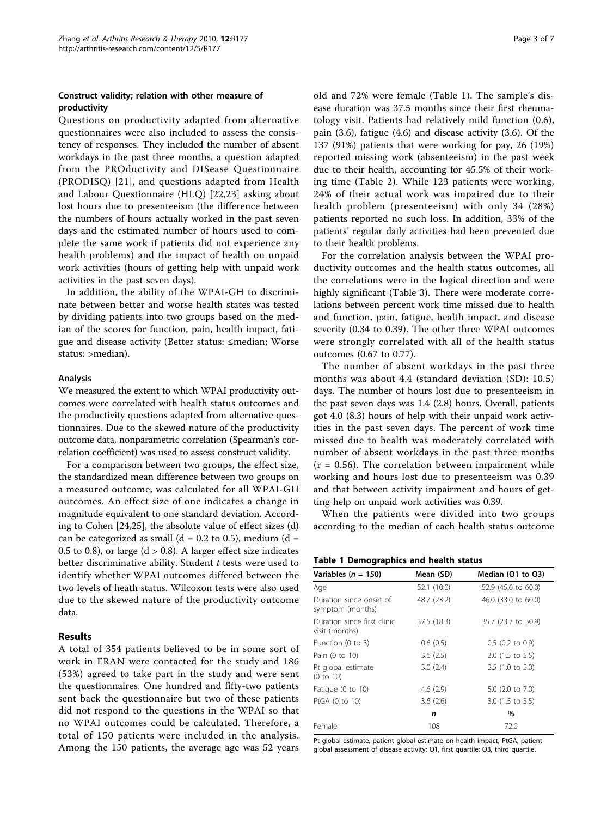## Construct validity; relation with other measure of productivity

Questions on productivity adapted from alternative questionnaires were also included to assess the consistency of responses. They included the number of absent workdays in the past three months, a question adapted from the PROductivity and DISease Questionnaire (PRODISQ) [[21](#page-6-0)], and questions adapted from Health and Labour Questionnaire (HLQ) [\[22](#page-6-0),[23\]](#page-6-0) asking about lost hours due to presenteeism (the difference between the numbers of hours actually worked in the past seven days and the estimated number of hours used to complete the same work if patients did not experience any health problems) and the impact of health on unpaid work activities (hours of getting help with unpaid work activities in the past seven days).

In addition, the ability of the WPAI-GH to discriminate between better and worse health states was tested by dividing patients into two groups based on the median of the scores for function, pain, health impact, fatigue and disease activity (Better status: ≤median; Worse status: >median).

#### Analysis

We measured the extent to which WPAI productivity outcomes were correlated with health status outcomes and the productivity questions adapted from alternative questionnaires. Due to the skewed nature of the productivity outcome data, nonparametric correlation (Spearman's correlation coefficient) was used to assess construct validity.

For a comparison between two groups, the effect size, the standardized mean difference between two groups on a measured outcome, was calculated for all WPAI-GH outcomes. An effect size of one indicates a change in magnitude equivalent to one standard deviation. According to Cohen [[24,25\]](#page-6-0), the absolute value of effect sizes (d) can be categorized as small ( $d = 0.2$  to 0.5), medium ( $d =$ 0.5 to 0.8), or large ( $d > 0.8$ ). A larger effect size indicates better discriminative ability. Student  $t$  tests were used to identify whether WPAI outcomes differed between the two levels of heath status. Wilcoxon tests were also used due to the skewed nature of the productivity outcome data.

## Results

A total of 354 patients believed to be in some sort of work in ERAN were contacted for the study and 186 (53%) agreed to take part in the study and were sent the questionnaires. One hundred and fifty-two patients sent back the questionnaire but two of these patients did not respond to the questions in the WPAI so that no WPAI outcomes could be calculated. Therefore, a total of 150 patients were included in the analysis. Among the 150 patients, the average age was 52 years

old and 72% were female (Table 1). The sample's disease duration was 37.5 months since their first rheumatology visit. Patients had relatively mild function (0.6), pain (3.6), fatigue (4.6) and disease activity (3.6). Of the 137 (91%) patients that were working for pay, 26 (19%) reported missing work (absenteeism) in the past week due to their health, accounting for 45.5% of their working time (Table [2](#page-3-0)). While 123 patients were working, 24% of their actual work was impaired due to their health problem (presenteeism) with only 34 (28%) patients reported no such loss. In addition, 33% of the patients' regular daily activities had been prevented due to their health problems.

For the correlation analysis between the WPAI productivity outcomes and the health status outcomes, all the correlations were in the logical direction and were highly significant (Table [3\)](#page-3-0). There were moderate correlations between percent work time missed due to health and function, pain, fatigue, health impact, and disease severity (0.34 to 0.39). The other three WPAI outcomes were strongly correlated with all of the health status outcomes (0.67 to 0.77).

The number of absent workdays in the past three months was about 4.4 (standard deviation (SD): 10.5) days. The number of hours lost due to presenteeism in the past seven days was 1.4 (2.8) hours. Overall, patients got 4.0 (8.3) hours of help with their unpaid work activities in the past seven days. The percent of work time missed due to health was moderately correlated with number of absent workdays in the past three months  $(r = 0.56)$ . The correlation between impairment while working and hours lost due to presenteeism was 0.39 and that between activity impairment and hours of getting help on unpaid work activities was 0.39.

When the patients were divided into two groups according to the median of each health status outcome

| Table 1 Demographics and health status |  |  |  |  |  |  |
|----------------------------------------|--|--|--|--|--|--|
|----------------------------------------|--|--|--|--|--|--|

| Variables ( $n = 150$ )                       | Mean (SD)   | Median (Q1 to Q3)   |
|-----------------------------------------------|-------------|---------------------|
| Age                                           | 52.1 (10.0) | 52.9 (45.6 to 60.0) |
| Duration since onset of<br>symptom (months)   | 48.7 (23.2) | 46.0 (33.0 to 60.0) |
| Duration since first clinic<br>visit (months) | 37.5 (18.3) | 35.7 (23.7 to 50.9) |
| Function (0 to 3)                             | 0.6(0.5)    | $0.5$ (0.2 to 0.9)  |
| Pain (0 to 10)                                | 3.6(2.5)    | $3.0$ (1.5 to 5.5)  |
| Pt global estimate<br>(0 to 10)               | 3.0(2.4)    | $2.5$ (1.0 to 5.0)  |
| Fatigue (0 to 10)                             | 4.6(2.9)    | $5.0$ (2.0 to 7.0)  |
| PtGA (0 to 10)                                | 3.6(2.6)    | $3.0$ (1.5 to 5.5)  |
|                                               | n           | $\%$                |
| Female                                        | 108         | 72.0                |

Pt global estimate, patient global estimate on health impact; PtGA, patient global assessment of disease activity; Q1, first quartile; Q3, third quartile.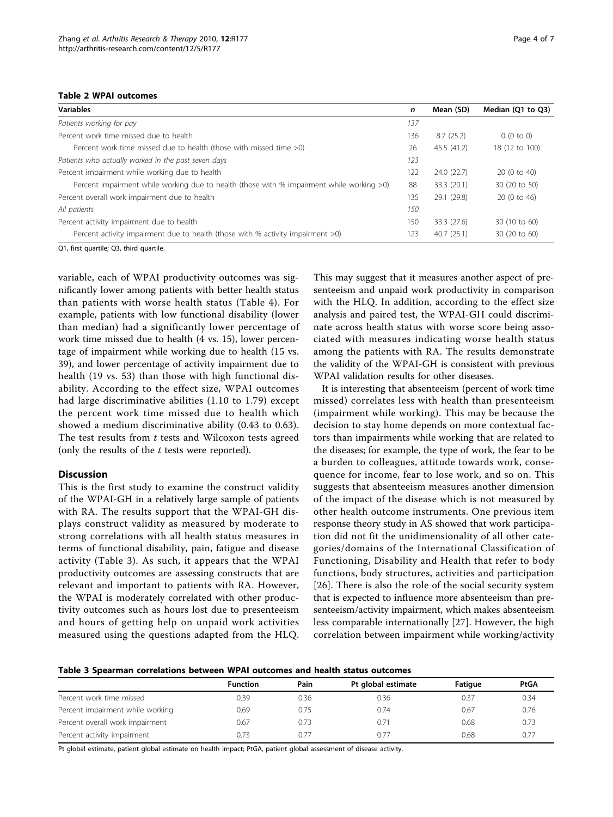#### <span id="page-3-0"></span>Table 2 WPAI outcomes

| <b>Variables</b>                                                                          | $\mathsf{n}$ | Mean (SD)   | Median (Q1 to Q3) |
|-------------------------------------------------------------------------------------------|--------------|-------------|-------------------|
| Patients working for pay                                                                  | 137          |             |                   |
| Percent work time missed due to health                                                    | 136          | 8.7(25.2)   | 0(0 to 0)         |
| Percent work time missed due to health (those with missed time $>0$ )                     | 26           | 45.5 (41.2) | 18 (12 to 100)    |
| Patients who actually worked in the past seven days                                       | 123          |             |                   |
| Percent impairment while working due to health                                            | 122          | 24.0 (22.7) | 20 (0 to 40)      |
| Percent impairment while working due to health (those with % impairment while working >0) | 88           | 33.3 (20.1) | 30 (20 to 50)     |
| Percent overall work impairment due to health                                             | 135          | 29.1 (29.8) | 20 (0 to 46)      |
| All patients                                                                              | 150          |             |                   |
| Percent activity impairment due to health                                                 | 150          | 33.3 (27.6) | 30 (10 to 60)     |
| Percent activity impairment due to health (those with % activity impairment >0)           | 123          | 40.7(25.1)  | 30 (20 to 60)     |

Q1, first quartile; Q3, third quartile.

variable, each of WPAI productivity outcomes was significantly lower among patients with better health status than patients with worse health status (Table [4](#page-4-0)). For example, patients with low functional disability (lower than median) had a significantly lower percentage of work time missed due to health (4 vs. 15), lower percentage of impairment while working due to health (15 vs. 39), and lower percentage of activity impairment due to health (19 vs. 53) than those with high functional disability. According to the effect size, WPAI outcomes had large discriminative abilities (1.10 to 1.79) except the percent work time missed due to health which showed a medium discriminative ability (0.43 to 0.63). The test results from  $t$  tests and Wilcoxon tests agreed (only the results of the  $t$  tests were reported).

#### **Discussion**

This is the first study to examine the construct validity of the WPAI-GH in a relatively large sample of patients with RA. The results support that the WPAI-GH displays construct validity as measured by moderate to strong correlations with all health status measures in terms of functional disability, pain, fatigue and disease activity (Table 3). As such, it appears that the WPAI productivity outcomes are assessing constructs that are relevant and important to patients with RA. However, the WPAI is moderately correlated with other productivity outcomes such as hours lost due to presenteeism and hours of getting help on unpaid work activities measured using the questions adapted from the HLQ. This may suggest that it measures another aspect of presenteeism and unpaid work productivity in comparison with the HLQ. In addition, according to the effect size analysis and paired test, the WPAI-GH could discriminate across health status with worse score being associated with measures indicating worse health status among the patients with RA. The results demonstrate the validity of the WPAI-GH is consistent with previous WPAI validation results for other diseases.

It is interesting that absenteeism (percent of work time missed) correlates less with health than presenteeism (impairment while working). This may be because the decision to stay home depends on more contextual factors than impairments while working that are related to the diseases; for example, the type of work, the fear to be a burden to colleagues, attitude towards work, consequence for income, fear to lose work, and so on. This suggests that absenteeism measures another dimension of the impact of the disease which is not measured by other health outcome instruments. One previous item response theory study in AS showed that work participation did not fit the unidimensionality of all other categories/domains of the International Classification of Functioning, Disability and Health that refer to body functions, body structures, activities and participation [[26](#page-6-0)]. There is also the role of the social security system that is expected to influence more absenteeism than presenteeism/activity impairment, which makes absenteeism less comparable internationally [\[27\]](#page-6-0). However, the high correlation between impairment while working/activity

### Table 3 Spearman correlations between WPAI outcomes and health status outcomes

|                                  | <b>Function</b> | Pain | Pt global estimate | Fatique | PtGA |
|----------------------------------|-----------------|------|--------------------|---------|------|
| Percent work time missed         | 0.39            | 0.36 | 0.36               | 0.37    | 0.34 |
| Percent impairment while working | 0.69            | 0.75 | 0.74               | 0.67    | 0.76 |
| Percent overall work impairment  | 0.67            | 0.73 | $0.7^{\circ}$      | 0.68    | 0.73 |
| Percent activity impairment      | 0.73            |      | 0.77               | 0.68    | 0.77 |

Pt global estimate, patient global estimate on health impact; PtGA, patient global assessment of disease activity.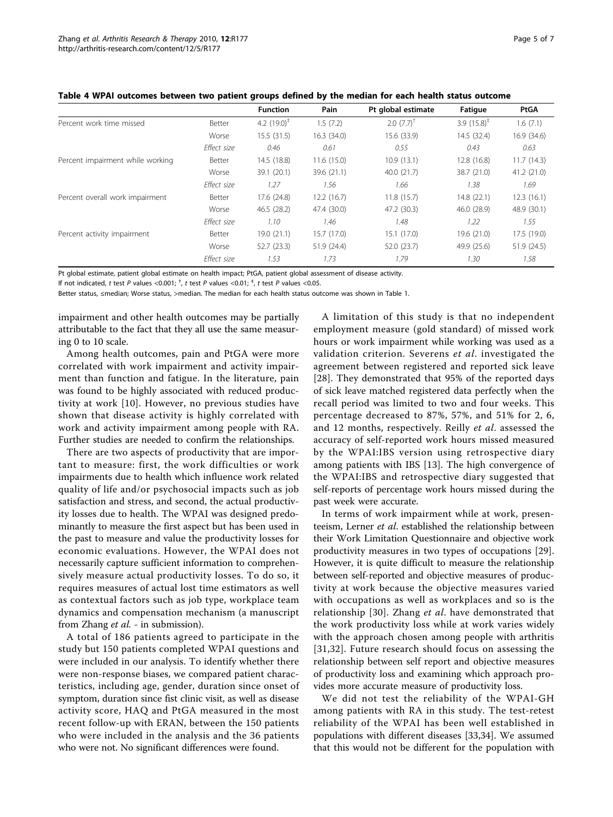<span id="page-4-0"></span>

|                                  |             | <b>Function</b>         | Pain        | Pt global estimate | <b>Fatique</b>          | PtGA        |
|----------------------------------|-------------|-------------------------|-------------|--------------------|-------------------------|-------------|
| Percent work time missed         | Better      | 4.2 $(19.0)^{\ddagger}$ | 1.5(7.2)    | $2.0(7.7)^{+}$     | 3.9 $(15.8)^{\ddagger}$ | 1.6(7.1)    |
|                                  | Worse       | 15.5(31.5)              | 16.3(34.0)  | 15.6 (33.9)        | 14.5 (32.4)             | 16.9 (34.6) |
|                                  | Fffect size | 0.46                    | 0.61        | 0.55               | 0.43                    | 0.63        |
| Percent impairment while working | Better      | 14.5 (18.8)             | 11.6(15.0)  | 10.9(13.1)         | 12.8 (16.8)             | 11.7(14.3)  |
|                                  | Worse       | 39.1 (20.1)             | 39.6 (21.1) | 40.0(21.7)         | 38.7 (21.0)             | 41.2 (21.0) |
|                                  | Effect size | 1.27                    | 1.56        | 1.66               | 1.38                    | 1.69        |
| Percent overall work impairment  | Better      | 17.6 (24.8)             | 12.2(16.7)  | 11.8(15.7)         | 14.8 (22.1)             | 12.3(16.1)  |
|                                  | Worse       | 46.5 (28.2)             | 47.4 (30.0) | 47.2 (30.3)        | 46.0 (28.9)             | 48.9 (30.1) |
|                                  | Effect size | 1.10                    | 1.46        | 1.48               | 1.22                    | 1.55        |
| Percent activity impairment      | Better      | 19.0(21.1)              | 15.7 (17.0) | 15.1(17.0)         | 19.6 (21.0)             | 17.5 (19.0) |
|                                  | Worse       | 52.7(23.3)              | 51.9 (24.4) | 52.0 (23.7)        | 49.9 (25.6)             | 51.9 (24.5) |
|                                  | Effect size | 1.53                    | 1.73        | 1.79               | 1.30                    | 1.58        |

Pt global estimate, patient global estimate on health impact; PtGA, patient global assessment of disease activity.

If not indicated, t test P values <0.001;  $^{\dagger}$ , t test P values <0.01;  $^{\dagger}$ , t test P values <0.05.

Better status, ≤median; Worse status, >median. The median for each health status outcome was shown in Table 1.

impairment and other health outcomes may be partially attributable to the fact that they all use the same measuring 0 to 10 scale.

Among health outcomes, pain and PtGA were more correlated with work impairment and activity impairment than function and fatigue. In the literature, pain was found to be highly associated with reduced productivity at work [\[10\]](#page-5-0). However, no previous studies have shown that disease activity is highly correlated with work and activity impairment among people with RA. Further studies are needed to confirm the relationships.

There are two aspects of productivity that are important to measure: first, the work difficulties or work impairments due to health which influence work related quality of life and/or psychosocial impacts such as job satisfaction and stress, and second, the actual productivity losses due to health. The WPAI was designed predominantly to measure the first aspect but has been used in the past to measure and value the productivity losses for economic evaluations. However, the WPAI does not necessarily capture sufficient information to comprehensively measure actual productivity losses. To do so, it requires measures of actual lost time estimators as well as contextual factors such as job type, workplace team dynamics and compensation mechanism (a manuscript from Zhang et al. - in submission).

A total of 186 patients agreed to participate in the study but 150 patients completed WPAI questions and were included in our analysis. To identify whether there were non-response biases, we compared patient characteristics, including age, gender, duration since onset of symptom, duration since fist clinic visit, as well as disease activity score, HAQ and PtGA measured in the most recent follow-up with ERAN, between the 150 patients who were included in the analysis and the 36 patients who were not. No significant differences were found.

A limitation of this study is that no independent employment measure (gold standard) of missed work hours or work impairment while working was used as a validation criterion. Severens et al. investigated the agreement between registered and reported sick leave [[28](#page-6-0)]. They demonstrated that 95% of the reported days of sick leave matched registered data perfectly when the recall period was limited to two and four weeks. This percentage decreased to 87%, 57%, and 51% for 2, 6, and 12 months, respectively. Reilly et al. assessed the accuracy of self-reported work hours missed measured by the WPAI:IBS version using retrospective diary among patients with IBS [[13](#page-6-0)]. The high convergence of the WPAI:IBS and retrospective diary suggested that self-reports of percentage work hours missed during the past week were accurate.

In terms of work impairment while at work, presenteeism, Lerner et al. established the relationship between their Work Limitation Questionnaire and objective work productivity measures in two types of occupations [\[29](#page-6-0)]. However, it is quite difficult to measure the relationship between self-reported and objective measures of productivity at work because the objective measures varied with occupations as well as workplaces and so is the relationship [[30](#page-6-0)]. Zhang et al. have demonstrated that the work productivity loss while at work varies widely with the approach chosen among people with arthritis [[31](#page-6-0),[32\]](#page-6-0). Future research should focus on assessing the relationship between self report and objective measures of productivity loss and examining which approach provides more accurate measure of productivity loss.

We did not test the reliability of the WPAI-GH among patients with RA in this study. The test-retest reliability of the WPAI has been well established in populations with different diseases [[33,34\]](#page-6-0). We assumed that this would not be different for the population with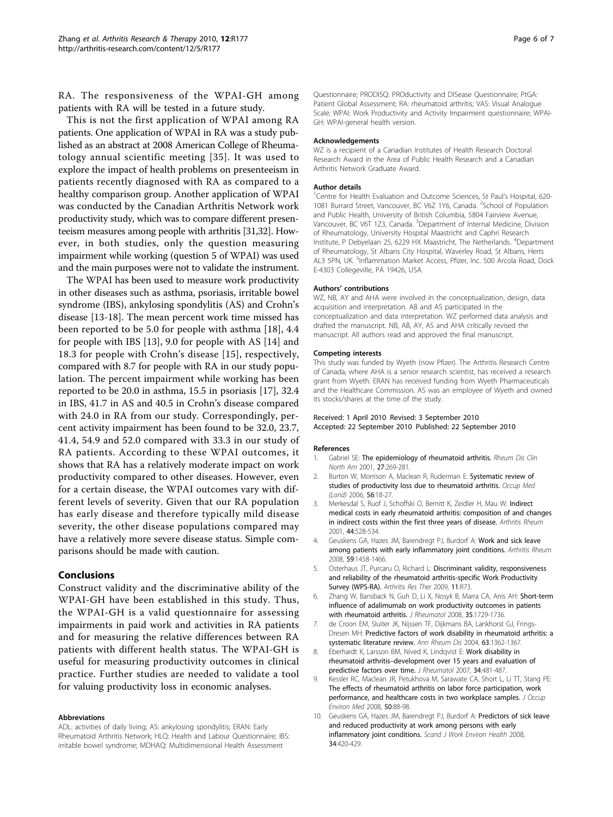<span id="page-5-0"></span>RA. The responsiveness of the WPAI-GH among patients with RA will be tested in a future study.

This is not the first application of WPAI among RA patients. One application of WPAI in RA was a study published as an abstract at 2008 American College of Rheumatology annual scientific meeting [[35\]](#page-6-0). It was used to explore the impact of health problems on presenteeism in patients recently diagnosed with RA as compared to a healthy comparison group. Another application of WPAI was conducted by the Canadian Arthritis Network work productivity study, which was to compare different presenteeism measures among people with arthritis [\[31,32](#page-6-0)]. However, in both studies, only the question measuring impairment while working (question 5 of WPAI) was used and the main purposes were not to validate the instrument.

The WPAI has been used to measure work productivity in other diseases such as asthma, psoriasis, irritable bowel syndrome (IBS), ankylosing spondylitis (AS) and Crohn's disease [[13](#page-6-0)-[18\]](#page-6-0). The mean percent work time missed has been reported to be 5.0 for people with asthma [[18\]](#page-6-0), 4.4 for people with IBS [[13\]](#page-6-0), 9.0 for people with AS [\[14](#page-6-0)] and 18.3 for people with Crohn's disease [[15](#page-6-0)], respectively, compared with 8.7 for people with RA in our study population. The percent impairment while working has been reported to be 20.0 in asthma, 15.5 in psoriasis [\[17](#page-6-0)], 32.4 in IBS, 41.7 in AS and 40.5 in Crohn's disease compared with 24.0 in RA from our study. Correspondingly, percent activity impairment has been found to be 32.0, 23.7, 41.4, 54.9 and 52.0 compared with 33.3 in our study of RA patients. According to these WPAI outcomes, it shows that RA has a relatively moderate impact on work productivity compared to other diseases. However, even for a certain disease, the WPAI outcomes vary with different levels of severity. Given that our RA population has early disease and therefore typically mild disease severity, the other disease populations compared may have a relatively more severe disease status. Simple comparisons should be made with caution.

#### Conclusions

Construct validity and the discriminative ability of the WPAI-GH have been established in this study. Thus, the WPAI-GH is a valid questionnaire for assessing impairments in paid work and activities in RA patients and for measuring the relative differences between RA patients with different health status. The WPAI-GH is useful for measuring productivity outcomes in clinical practice. Further studies are needed to validate a tool for valuing productivity loss in economic analyses.

#### Abbreviations

ADL: activities of daily living; AS: ankylosing spondylitis; ERAN: Early Rheumatoid Arthritis Network; HLQ: Health and Labour Questionnaire; IBS: irritable bowel syndrome; MDHAQ: Multidimensional Health Assessment

Questionnaire; PRODISQ: PROductivity and DISease Questionnaire; PtGA: Patient Global Assessment; RA: rheumatoid arthritis; VAS: Visual Analogue Scale; WPAI: Work Productivity and Activity Impairment questionnaire; WPAI-GH: WPAI-general health version.

#### Acknowledgements

WZ is a recipient of a Canadian Institutes of Health Research Doctoral Research Award in the Area of Public Health Research and a Canadian Arthritis Network Graduate Award.

#### Author details

<sup>1</sup>Centre for Health Evaluation and Outcome Sciences, St Paul's Hospital, 620-1081 Burrard Street, Vancouver, BC V6Z 1Y6, Canada. <sup>2</sup>School of Population and Public Health, University of British Columbia, 5804 Fairview Avenue, Vancouver, BC V6T 1Z3, Canada. <sup>3</sup>Department of Internal Medicine, Division of Rheumatology, University Hospital Maastricht and Caphri Research Institute, P Debyelaan 25, 6229 HX Maastricht, The Netherlands. <sup>4</sup>Department of Rheumatology, St Albans City Hospital, Waverley Road, St Albans, Herts AL3 5PN, UK. <sup>5</sup>Inflammation Market Access, Pfizer, Inc. 500 Arcola Road, Dock E-4303 Collegeville, PA 19426, USA.

#### Authors' contributions

WZ, NB, AY and AHA were involved in the conceptualization, design, data acquisition and interpretation. AB and AS participated in the conceptualization and data interpretation. WZ performed data analysis and drafted the manuscript. NB, AB, AY, AS and AHA critically revised the manuscript. All authors read and approved the final manuscript.

#### Competing interests

This study was funded by Wyeth (now Pfizer). The Arthritis Research Centre of Canada, where AHA is a senior research scientist, has received a research grant from Wyeth. ERAN has received funding from Wyeth Pharmaceuticals and the Healthcare Commission. AS was an employee of Wyeth and owned its stocks/shares at the time of the study.

#### Received: 1 April 2010 Revised: 3 September 2010 Accepted: 22 September 2010 Published: 22 September 2010

#### References

- 1. Gabriel SE: [The epidemiology of rheumatoid arthritis.](http://www.ncbi.nlm.nih.gov/pubmed/11396092?dopt=Abstract) Rheum Dis Clin North Am 2001, 27:269-281.
- 2. Burton W, Morrison A, Maclean R, Ruderman E: [Systematic review of](http://www.ncbi.nlm.nih.gov/pubmed/16286432?dopt=Abstract) [studies of productivity loss due to rheumatoid arthritis.](http://www.ncbi.nlm.nih.gov/pubmed/16286432?dopt=Abstract) Occup Med (Lond) 2006, 56:18-27.
- 3. Merkesdal S, Ruof J, Schoffski O, Bernitt K, Zeidler H, Mau W: [Indirect](http://www.ncbi.nlm.nih.gov/pubmed/11263766?dopt=Abstract) [medical costs in early rheumatoid arthritis: composition of and changes](http://www.ncbi.nlm.nih.gov/pubmed/11263766?dopt=Abstract) [in indirect costs within the first three years of disease.](http://www.ncbi.nlm.nih.gov/pubmed/11263766?dopt=Abstract) Arthritis Rheum 2001, 44:528-534.
- 4. Geuskens GA, Hazes JM, Barendregt PJ, Burdorf A: [Work and sick leave](http://www.ncbi.nlm.nih.gov/pubmed/18821663?dopt=Abstract) [among patients with early inflammatory joint conditions.](http://www.ncbi.nlm.nih.gov/pubmed/18821663?dopt=Abstract) Arthritis Rheum 2008, 59:1458-1466.
- 5. Osterhaus JT, Purcaru O, Richard L: [Discriminant validity, responsiveness](http://www.ncbi.nlm.nih.gov/pubmed/19457255?dopt=Abstract) [and reliability of the rheumatoid arthritis-specific Work Productivity](http://www.ncbi.nlm.nih.gov/pubmed/19457255?dopt=Abstract) [Survey \(WPS-RA\).](http://www.ncbi.nlm.nih.gov/pubmed/19457255?dopt=Abstract) Arthritis Res Ther 2009, 11:R73.
- 6. Zhang W, Bansback N, Guh D, Li X, Nosyk B, Marra CA, Anis AH: [Short-term](http://www.ncbi.nlm.nih.gov/pubmed/18688916?dopt=Abstract) [influence of adalimumab on work productivity outcomes in patients](http://www.ncbi.nlm.nih.gov/pubmed/18688916?dopt=Abstract) [with rheumatoid arthritis.](http://www.ncbi.nlm.nih.gov/pubmed/18688916?dopt=Abstract) J Rheumatol 2008, 35:1729-1736.
- 7. de Croon EM, Sluiter JK, Nijssen TF, Dijkmans BA, Lankhorst GJ, Frings-Dresen MH: [Predictive factors of work disability in rheumatoid arthritis: a](http://www.ncbi.nlm.nih.gov/pubmed/15479885?dopt=Abstract) [systematic literature review.](http://www.ncbi.nlm.nih.gov/pubmed/15479885?dopt=Abstract) Ann Rheum Dis 2004, 63:1362-1367.
- 8. Eberhardt K, Larsson BM, Nived K, Lindqvist E: [Work disability in](http://www.ncbi.nlm.nih.gov/pubmed/17299844?dopt=Abstract) rheumatoid arthritis–[development over 15 years and evaluation of](http://www.ncbi.nlm.nih.gov/pubmed/17299844?dopt=Abstract) [predictive factors over time.](http://www.ncbi.nlm.nih.gov/pubmed/17299844?dopt=Abstract) J Rheumatol 2007, 34:481-487.
- Kessler RC, Maclean JR, Petukhova M, Sarawate CA, Short L, Li TT, Stang PE: [The effects of rheumatoid arthritis on labor force participation, work](http://www.ncbi.nlm.nih.gov/pubmed/18188086?dopt=Abstract) [performance, and healthcare costs in two workplace samples.](http://www.ncbi.nlm.nih.gov/pubmed/18188086?dopt=Abstract) J Occup Environ Med 2008, 50:88-98.
- 10. Geuskens GA, Hazes JM, Barendregt PJ, Burdorf A: [Predictors of sick leave](http://www.ncbi.nlm.nih.gov/pubmed/19137203?dopt=Abstract) [and reduced productivity at work among persons with early](http://www.ncbi.nlm.nih.gov/pubmed/19137203?dopt=Abstract) [inflammatory joint conditions.](http://www.ncbi.nlm.nih.gov/pubmed/19137203?dopt=Abstract) Scand J Work Environ Health 2008, 34:420-429.